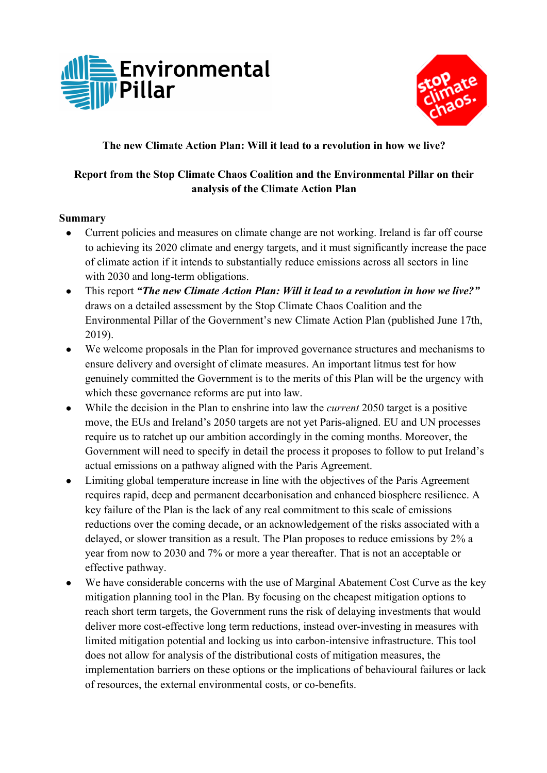



## **The new Climate Action Plan: Will it lead to a revolution in how we live?**

## **Report from the Stop Climate Chaos Coalition and the Environmental Pillar on their analysis of the Climate Action Plan**

## **Summary**

- Current policies and measures on climate change are not working. Ireland is far off course to achieving its 2020 climate and energy targets, and it must significantly increase the pace of climate action if it intends to substantially reduce emissions across all sectors in line with 2030 and long-term obligations.
- This report *"The new Climate Action Plan: Will it lead to a revolution in how we live?"*  draws on a detailed assessment by the Stop Climate Chaos Coalition and the Environmental Pillar of the Government's new Climate Action Plan (published June 17th, 2019).
- We welcome proposals in the Plan for improved governance structures and mechanisms to ensure delivery and oversight of climate measures. An important litmus test for how genuinely committed the Government is to the merits of this Plan will be the urgency with which these governance reforms are put into law.
- While the decision in the Plan to enshrine into law the *current* 2050 target is a positive move, the EUs and Ireland's 2050 targets are not yet Paris-aligned. EU and UN processes require us to ratchet up our ambition accordingly in the coming months. Moreover, the Government will need to specify in detail the process it proposes to follow to put Ireland's actual emissions on a pathway aligned with the Paris Agreement.
- Limiting global temperature increase in line with the objectives of the Paris Agreement requires rapid, deep and permanent decarbonisation and enhanced biosphere resilience. A key failure of the Plan is the lack of any real commitment to this scale of emissions reductions over the coming decade, or an acknowledgement of the risks associated with a delayed, or slower transition as a result. The Plan proposes to reduce emissions by 2% a year from now to 2030 and 7% or more a year thereafter. That is not an acceptable or effective pathway.
- We have considerable concerns with the use of Marginal Abatement Cost Curve as the key mitigation planning tool in the Plan. By focusing on the cheapest mitigation options to reach short term targets, the Government runs the risk of delaying investments that would deliver more cost-effective long term reductions, instead over-investing in measures with limited mitigation potential and locking us into carbon-intensive infrastructure. This tool does not allow for analysis of the distributional costs of mitigation measures, the implementation barriers on these options or the implications of behavioural failures or lack of resources, the external environmental costs, or co-benefits.